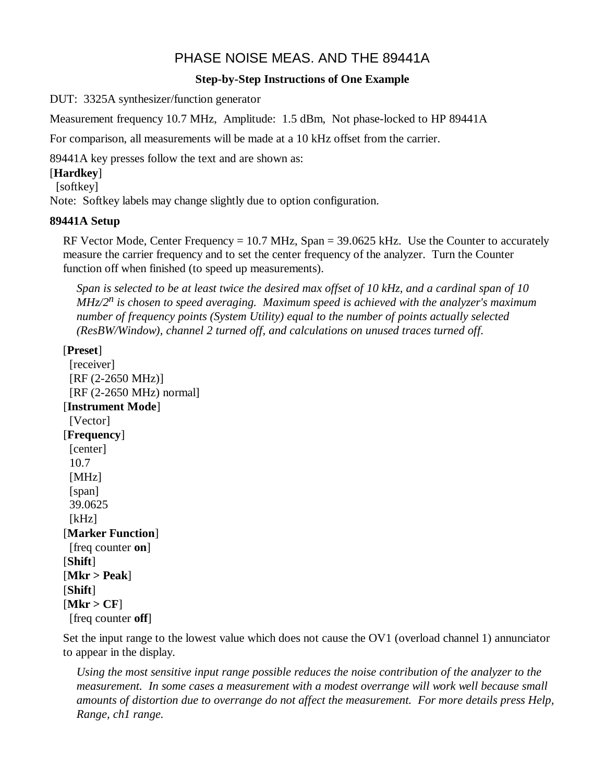# PHASE NOISE MEAS. AND THE 89441A

# **Step-by-Step Instructions of One Example**

DUT: 3325A synthesizer/function generator

Measurement frequency 10.7 MHz, Amplitude: 1.5 dBm, Not phase-locked to HP 89441A

For comparison, all measurements will be made at a 10 kHz offset from the carrier.

89441A key presses follow the text and are shown as:

# [**Hardkey**]

[softkey]

Note: Softkey labels may change slightly due to option configuration.

# **89441A Setup**

RF Vector Mode, Center Frequency =  $10.7$  MHz, Span =  $39.0625$  kHz. Use the Counter to accurately measure the carrier frequency and to set the center frequency of the analyzer. Turn the Counter function off when finished (to speed up measurements).

*Span is selected to be at least twice the desired max offset of 10 kHz, and a cardinal span of 10 MHz/2<sup>n</sup> is chosen to speed averaging. Maximum speed is achieved with the analyzer's maximum number of frequency points (System Utility) equal to the number of points actually selected (ResBW/Window), channel 2 turned off, and calculations on unused traces turned off.*

# [**Preset**]

[receiver] [RF (2-2650 MHz)] [RF (2-2650 MHz) normal] [**Instrument Mode**] [Vector] [**Frequency**] [center] 10.7 [MHz] [span] 39.0625  $[kHz]$ [**Marker Function**] [freq counter **on**] [**Shift**] [**Mkr > Peak**] [**Shift**]  $[Mkr > CF]$ [freq counter **off**]

Set the input range to the lowest value which does not cause the OV1 (overload channel 1) annunciator to appear in the display.

*Using the most sensitive input range possible reduces the noise contribution of the analyzer to the measurement. In some cases a measurement with a modest overrange will work well because small amounts of distortion due to overrange do not affect the measurement. For more details press Help, Range, ch1 range.*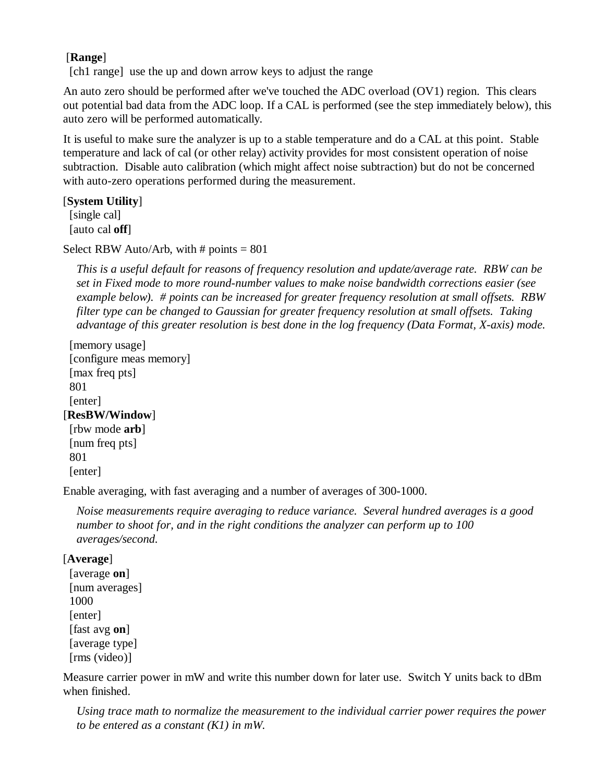# [**Range**]

[ch1 range] use the up and down arrow keys to adjust the range

An auto zero should be performed after we've touched the ADC overload (OV1) region. This clears out potential bad data from the ADC loop. If a CAL is performed (see the step immediately below), this auto zero will be performed automatically.

It is useful to make sure the analyzer is up to a stable temperature and do a CAL at this point. Stable temperature and lack of cal (or other relay) activity provides for most consistent operation of noise subtraction. Disable auto calibration (which might affect noise subtraction) but do not be concerned with auto-zero operations performed during the measurement.

### [**System Utility**]

 [single cal] [auto cal **off**]

Select RBW Auto/Arb, with  $\#$  points = 801

*This is a useful default for reasons of frequency resolution and update/average rate. RBW can be set in Fixed mode to more round-number values to make noise bandwidth corrections easier (see example below). # points can be increased for greater frequency resolution at small offsets. RBW filter type can be changed to Gaussian for greater frequency resolution at small offsets. Taking advantage of this greater resolution is best done in the log frequency (Data Format, X-axis) mode.*

```
 [memory usage]
  [configure meas memory]
  [max freq pts]
 801
  [enter]
[ResBW/Window]
  [rbw mode arb]
  [num freq pts]
 801
 [enter]
```
Enable averaging, with fast averaging and a number of averages of 300-1000.

*Noise measurements require averaging to reduce variance. Several hundred averages is a good number to shoot for, and in the right conditions the analyzer can perform up to 100 averages/second.*

### [**Average**]

```
 [average on]
 [num averages]
 1000
[enter]
 [fast avg on]
 [average type]
 [rms (video)]
```
Measure carrier power in mW and write this number down for later use. Switch Y units back to dBm when finished.

*Using trace math to normalize the measurement to the individual carrier power requires the power to be entered as a constant (K1) in mW.*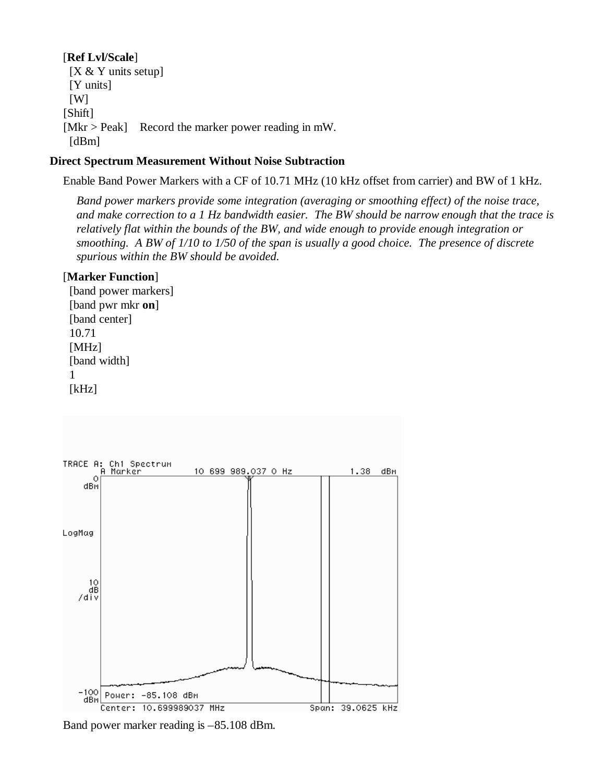### [**Ref Lvl/Scale**]

[X & Y units setup] [Y units] [W] [Shift] [Mkr > Peak] Record the marker power reading in mW. [dBm]

### **Direct Spectrum Measurement Without Noise Subtraction**

Enable Band Power Markers with a CF of 10.71 MHz (10 kHz offset from carrier) and BW of 1 kHz.

*Band power markers provide some integration (averaging or smoothing effect) of the noise trace, and make correction to a 1 Hz bandwidth easier. The BW should be narrow enough that the trace is relatively flat within the bounds of the BW, and wide enough to provide enough integration or smoothing. A BW of 1/10 to 1/50 of the span is usually a good choice. The presence of discrete spurious within the BW should be avoided.*

### [**Marker Function**]

 [band power markers] [band pwr mkr **on**] [band center] 10.71 [MHz] [band width] 1 [kHz]



Band power marker reading is –85.108 dBm.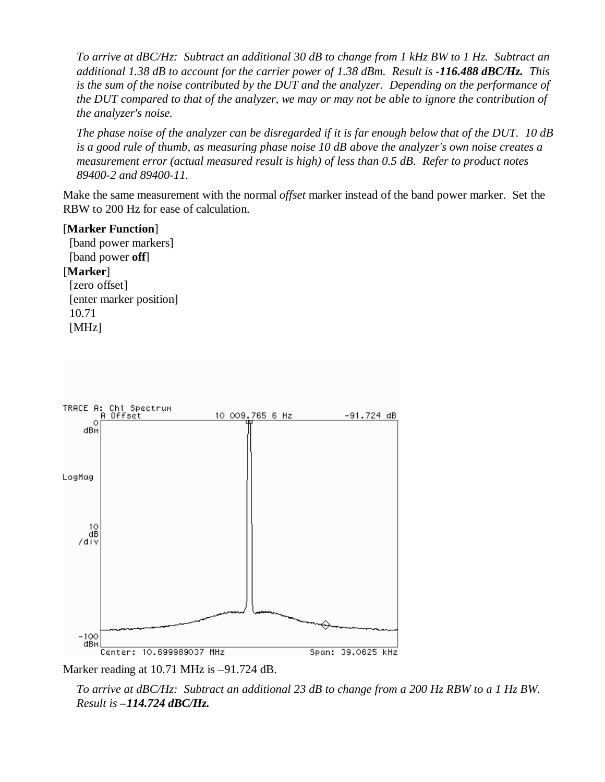*To arrive at dBC/Hz: Subtract an additional 30 dB to change from 1 kHz BW to 1 Hz. Subtract an additional 1.38 dB to account for the carrier power of 1.38 dBm. Result is -116.488 dBC/Hz. This is the sum of the noise contributed by the DUT and the analyzer. Depending on the performance of the DUT compared to that of the analyzer, we may or may not be able to ignore the contribution of the analyzer's noise.*

*The phase noise of the analyzer can be disregarded if it is far enough below that of the DUT. 10 dB is a good rule of thumb, as measuring phase noise 10 dB above the analyzer's own noise creates a measurement error (actual measured result is high) of less than 0.5 dB. Refer to product notes 89400-2 and 89400-11.*

Make the same measurement with the normal *offset* marker instead of the band power marker. Set the RBW to 200 Hz for ease of calculation.

#### [**Marker Function**]

 [band power markers] [band power **off**] [**Marker**] [zero offset] [enter marker position] 10.71 [MHz]



Marker reading at 10.71 MHz is  $-91.724$  dB.

*To arrive at dBC/Hz: Subtract an additional 23 dB to change from a 200 Hz RBW to a 1 Hz BW. Result is –114.724 dBC/Hz.*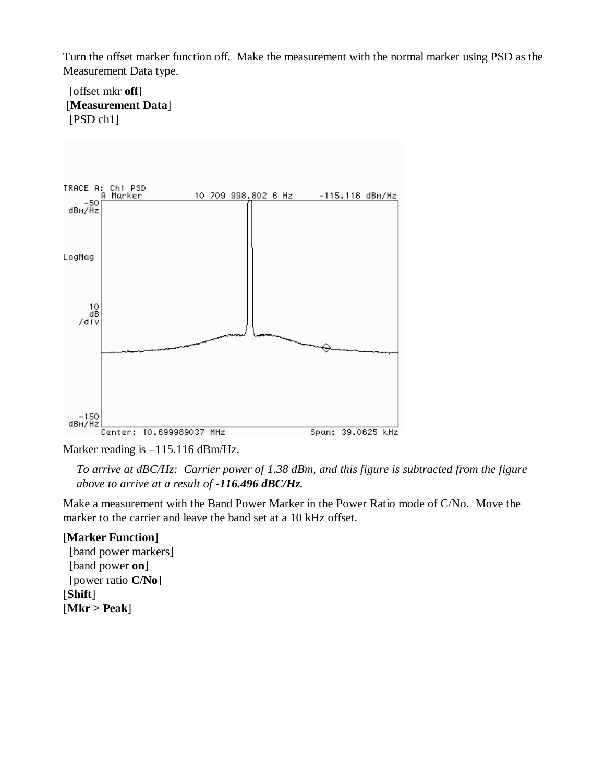Turn the offset marker function off. Make the measurement with the normal marker using PSD as the Measurement Data type.

### [offset mkr **off**] [**Measurement Data**] [PSD ch1]



Marker reading is –115.116 dBm/Hz.

*To arrive at dBC/Hz: Carrier power of 1.38 dBm, and this figure is subtracted from the figure above to arrive at a result of -116.496 dBC/Hz.*

Make a measurement with the Band Power Marker in the Power Ratio mode of C/No. Move the marker to the carrier and leave the band set at a 10 kHz offset.

### [**Marker Function**]

 [band power markers] [band power **on**] [power ratio **C/No**] [**Shift**] [**Mkr > Peak**]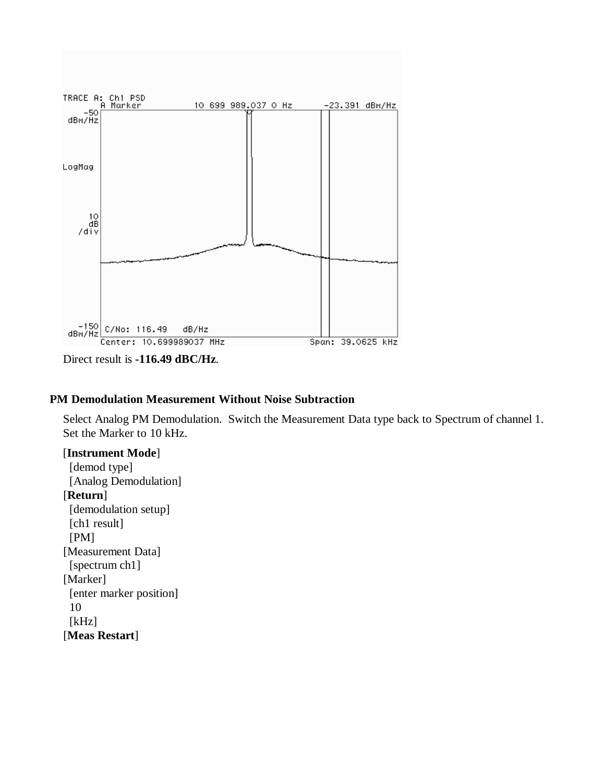

Direct result is **-116.49 dBC/Hz**.

### **PM Demodulation Measurement Without Noise Subtraction**

Select Analog PM Demodulation. Switch the Measurement Data type back to Spectrum of channel 1. Set the Marker to 10 kHz.

#### [**Instrument Mode**]

[demod type] [Analog Demodulation] [**Return**] [demodulation setup] [ch1 result] [PM] [Measurement Data] [spectrum ch1] [Marker] [enter marker position] 10 [kHz] [**Meas Restart**]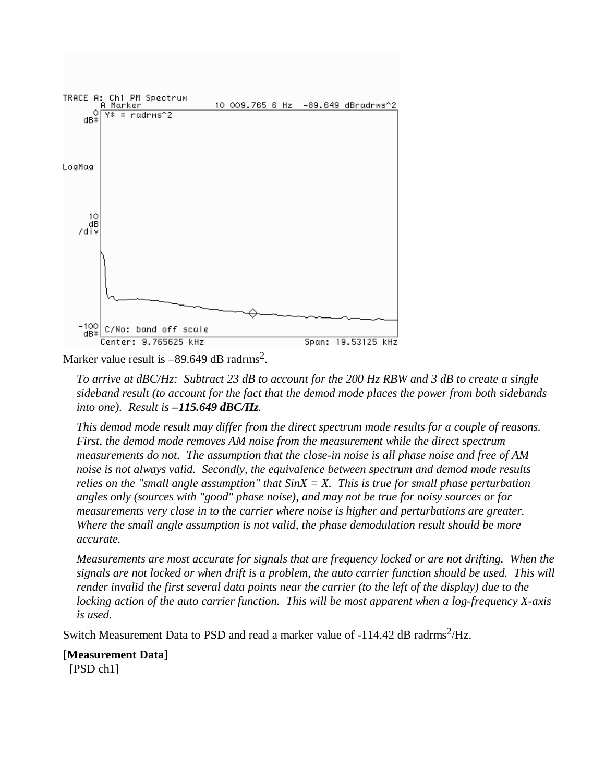

Marker value result is  $-89.649$  dB radrms<sup>2</sup>.

*To arrive at dBC/Hz: Subtract 23 dB to account for the 200 Hz RBW and 3 dB to create a single sideband result (to account for the fact that the demod mode places the power from both sidebands into one). Result is –115.649 dBC/Hz.*

*This demod mode result may differ from the direct spectrum mode results for a couple of reasons. First, the demod mode removes AM noise from the measurement while the direct spectrum measurements do not. The assumption that the close-in noise is all phase noise and free of AM noise is not always valid. Secondly, the equivalence between spectrum and demod mode results relies on the "small angle assumption" that SinX = X. This is true for small phase perturbation angles only (sources with "good" phase noise), and may not be true for noisy sources or for measurements very close in to the carrier where noise is higher and perturbations are greater. Where the small angle assumption is not valid, the phase demodulation result should be more accurate.*

*Measurements are most accurate for signals that are frequency locked or are not drifting. When the signals are not locked or when drift is a problem, the auto carrier function should be used. This will render invalid the first several data points near the carrier (to the left of the display) due to the locking action of the auto carrier function. This will be most apparent when a log-frequency X-axis is used.*

Switch Measurement Data to PSD and read a marker value of  $-114.42$  dB radrms<sup>2</sup>/Hz.

[**Measurement Data**] [PSD ch1]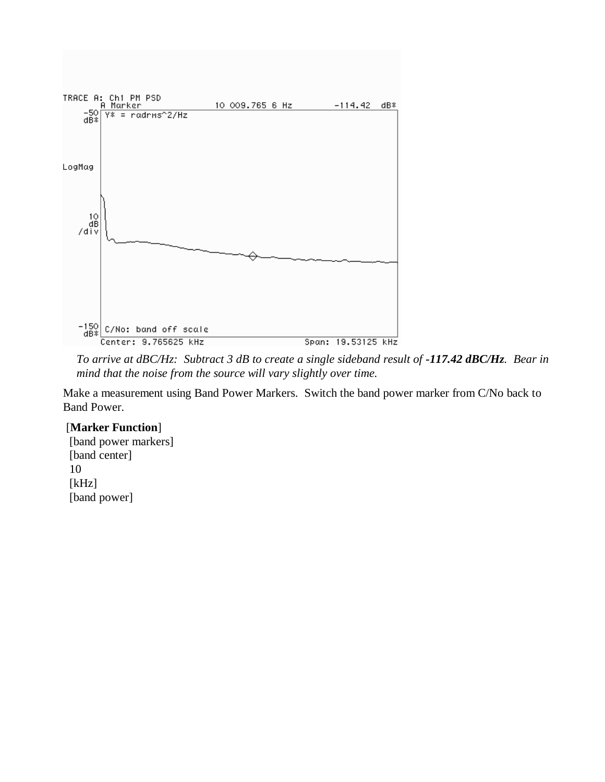

*To arrive at dBC/Hz: Subtract 3 dB to create a single sideband result of -117.42 dBC/Hz. Bear in mind that the noise from the source will vary slightly over time.*

Make a measurement using Band Power Markers. Switch the band power marker from C/No back to Band Power.

### [**Marker Function**]

 [band power markers] [band center] 10 [kHz] [band power]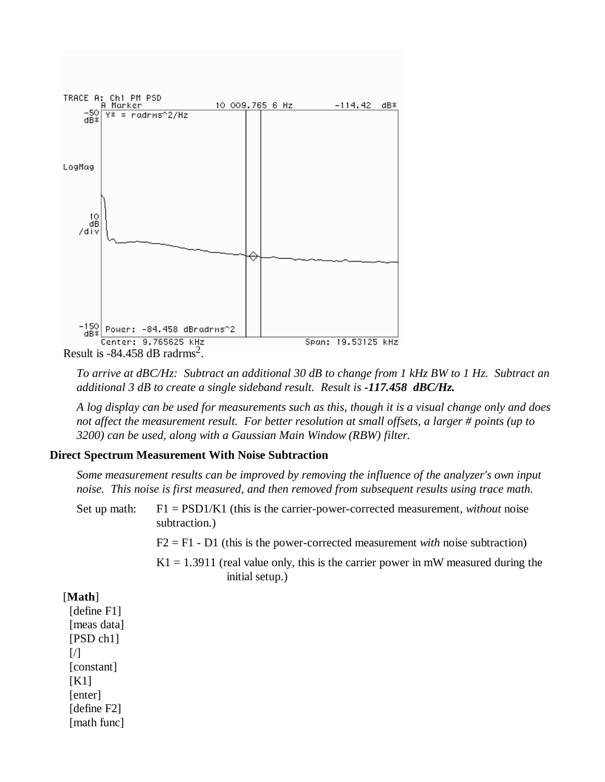

*To arrive at dBC/Hz: Subtract an additional 30 dB to change from 1 kHz BW to 1 Hz. Subtract an additional 3 dB to create a single sideband result. Result is -117.458 dBC/Hz.*

*A log display can be used for measurements such as this, though it is a visual change only and does not affect the measurement result. For better resolution at small offsets, a larger # points (up to 3200) can be used, along with a Gaussian Main Window (RBW) filter.*

#### **Direct Spectrum Measurement With Noise Subtraction**

*Some measurement results can be improved by removing the influence of the analyzer's own input noise. This noise is first measured, and then removed from subsequent results using trace math.*

| Set up math: $F1 = PSD1/K1$ (this is the carrier-power-corrected measurement, <i>without</i> noise |
|----------------------------------------------------------------------------------------------------|
| subtraction.)                                                                                      |

- F2 = F1 D1 (this is the power-corrected measurement *with* noise subtraction)
- $K1 = 1.3911$  (real value only, this is the carrier power in mW measured during the initial setup.)

[**Math**] [define F1] [meas data] [PSD ch1]  $\left[\right]$  [constant] [K1] [enter] [define F2] [math func]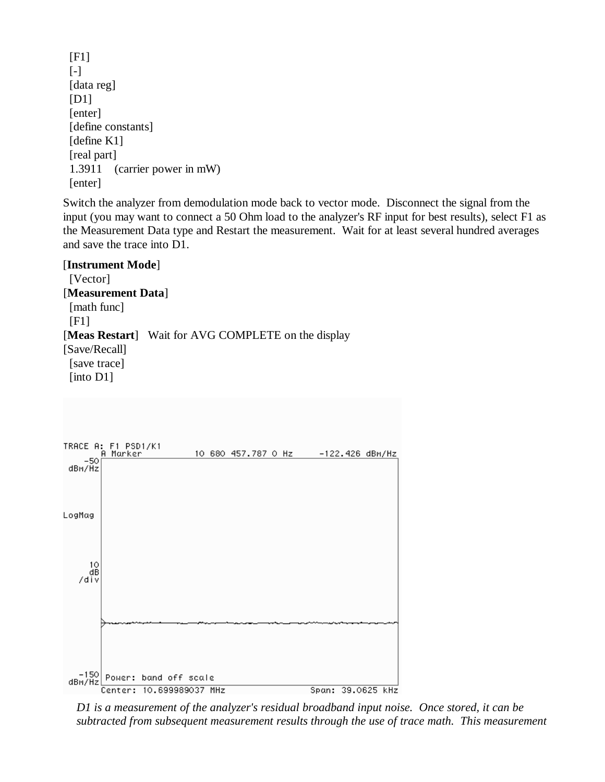[F1]  $[-]$  [data reg] [D1] [enter] [define constants] [define K1] [real part] 1.3911 (carrier power in mW) [enter]

Switch the analyzer from demodulation mode back to vector mode. Disconnect the signal from the input (you may want to connect a 50 Ohm load to the analyzer's RF input for best results), select F1 as the Measurement Data type and Restart the measurement. Wait for at least several hundred averages and save the trace into D1.

[**Instrument Mode**] [Vector] [**Measurement Data**] [math func] [F1] [**Meas Restart**] Wait for AVG COMPLETE on the display [Save/Recall] [save trace] [into D1]



*D1 is a measurement of the analyzer's residual broadband input noise. Once stored, it can be subtracted from subsequent measurement results through the use of trace math. This measurement*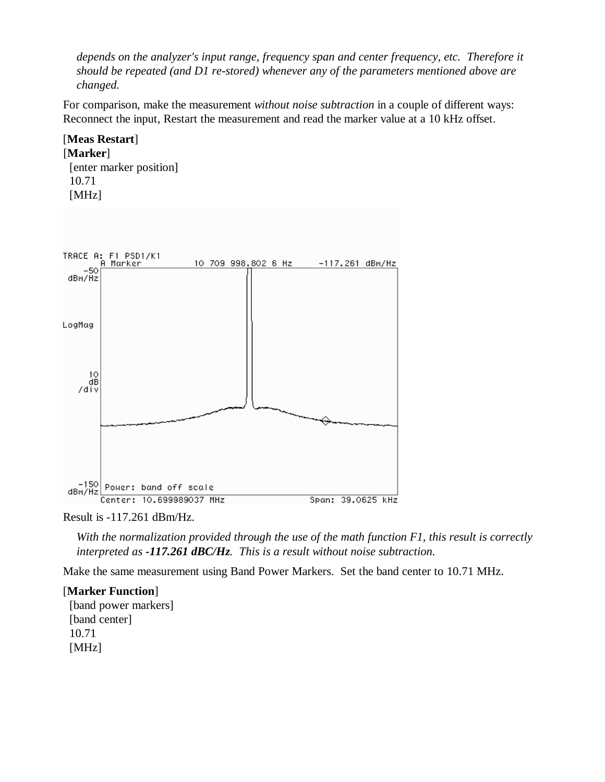*depends on the analyzer's input range, frequency span and center frequency, etc. Therefore it should be repeated (and D1 re-stored) whenever any of the parameters mentioned above are changed.*

For comparison, make the measurement *without noise subtraction* in a couple of different ways: Reconnect the input, Restart the measurement and read the marker value at a 10 kHz offset.

### [**Meas Restart**] [**Marker**] [enter marker position] 10.71 [MHz]



Result is -117.261 dBm/Hz.

*With the normalization provided through the use of the math function F1, this result is correctly interpreted as -117.261 dBC/Hz. This is a result without noise subtraction.*

Make the same measurement using Band Power Markers. Set the band center to 10.71 MHz.

### [**Marker Function**]

 [band power markers] [band center] 10.71 [MHz]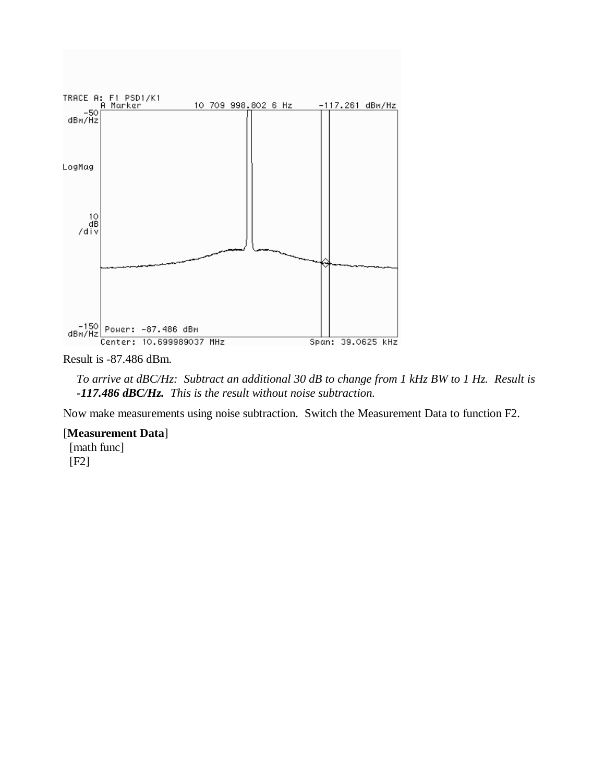

Result is -87.486 dBm.

*To arrive at dBC/Hz: Subtract an additional 30 dB to change from 1 kHz BW to 1 Hz. Result is -117.486 dBC/Hz. This is the result without noise subtraction.*

Now make measurements using noise subtraction. Switch the Measurement Data to function F2.

#### [**Measurement Data**]

 [math func] [F2]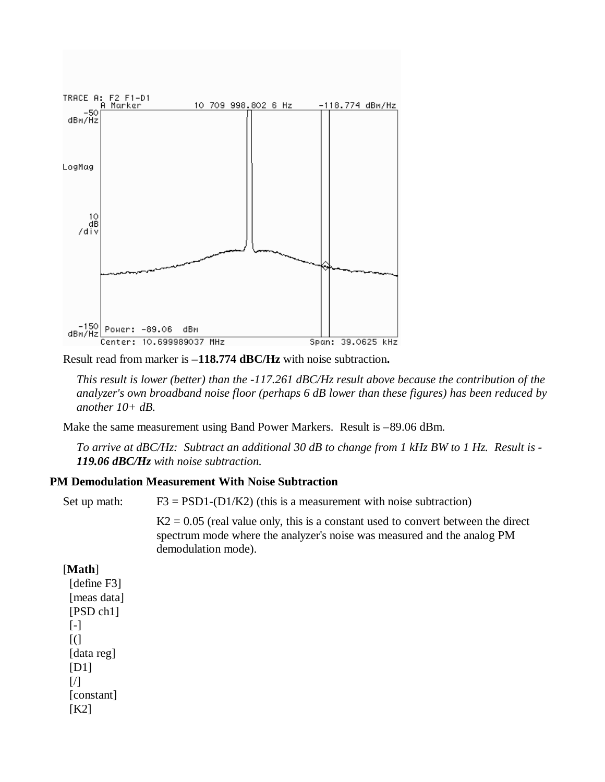

Result read from marker is **–118.774 dBC/Hz** with noise subtraction**.**

*This result is lower (better) than the -117.261 dBC/Hz result above because the contribution of the analyzer's own broadband noise floor (perhaps 6 dB lower than these figures) has been reduced by another 10+ dB.*

Make the same measurement using Band Power Markers. Result is –89.06 dBm.

*To arrive at dBC/Hz: Subtract an additional 30 dB to change from 1 kHz BW to 1 Hz. Result is - 119.06 dBC/Hz with noise subtraction.*

#### **PM Demodulation Measurement With Noise Subtraction**

Set up math:  $F3 = PSD1-(D1/K2)$  (this is a measurement with noise subtraction)

 $K2 = 0.05$  (real value only, this is a constant used to convert between the direct spectrum mode where the analyzer's noise was measured and the analog PM demodulation mode).

#### [**Math**]

[define F3] [meas data] [PSD ch1] [-]  $[$ ( [data reg] [D1]  $[7]$ [constant] [K2]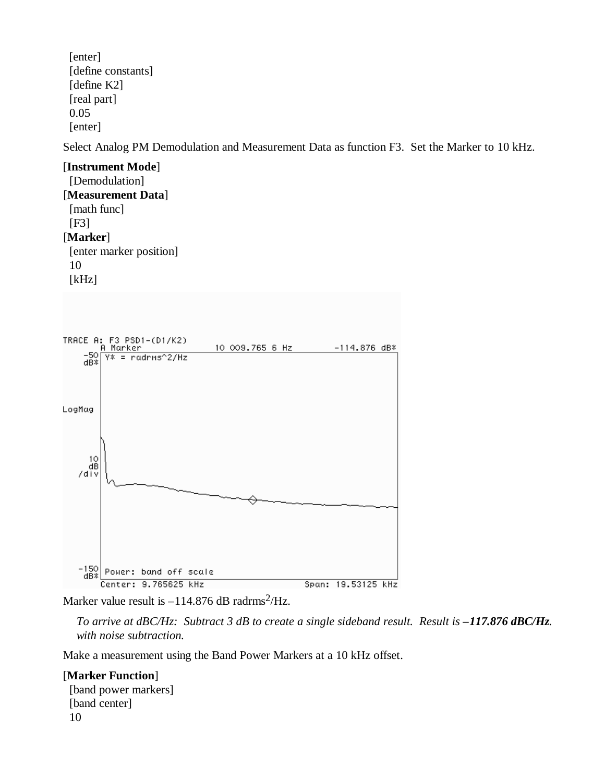[enter] [define constants] [define K2] [real part] 0.05 [enter]

Select Analog PM Demodulation and Measurement Data as function F3. Set the Marker to 10 kHz.

[**Instrument Mode**] [Demodulation] [**Measurement Data**] [math func] [F3] [**Marker**] [enter marker position] 10 [kHz]



Marker value result is  $-114.876$  dB radrms<sup>2</sup>/Hz.

*To arrive at dBC/Hz: Subtract 3 dB to create a single sideband result. Result is* -117.876 dBC/Hz. *with noise subtraction.*

Make a measurement using the Band Power Markers at a 10 kHz offset.

### [**Marker Function**]

 [band power markers] [band center] 10